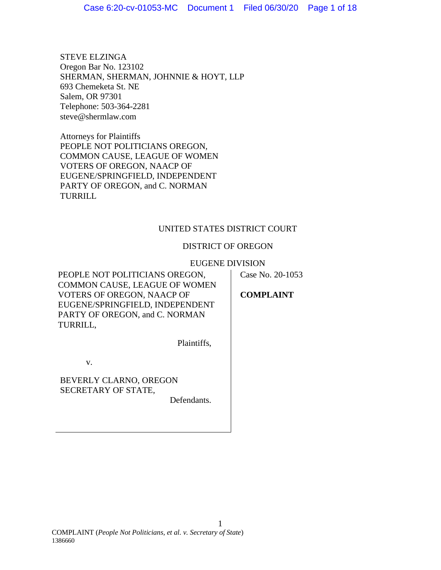STEVE ELZINGA Oregon Bar No. 123102 SHERMAN, SHERMAN, JOHNNIE & HOYT, LLP 693 Chemeketa St. NE Salem, OR 97301 Telephone: 503-364-2281 steve@shermlaw.com

Attorneys for Plaintiffs PEOPLE NOT POLITICIANS OREGON, COMMON CAUSE, LEAGUE OF WOMEN VOTERS OF OREGON, NAACP OF EUGENE/SPRINGFIELD, INDEPENDENT PARTY OF OREGON, and C. NORMAN TURRILL

## UNITED STATES DISTRICT COURT

## DISTRICT OF OREGON

## EUGENE DIVISION

PEOPLE NOT POLITICIANS OREGON, COMMON CAUSE, LEAGUE OF WOMEN VOTERS OF OREGON, NAACP OF EUGENE/SPRINGFIELD, INDEPENDENT PARTY OF OREGON, and C. NORMAN TURRILL,

Case No. 20-1053

**COMPLAINT**

v.

BEVERLY CLARNO, OREGON SECRETARY OF STATE,

Defendants.

Plaintiffs,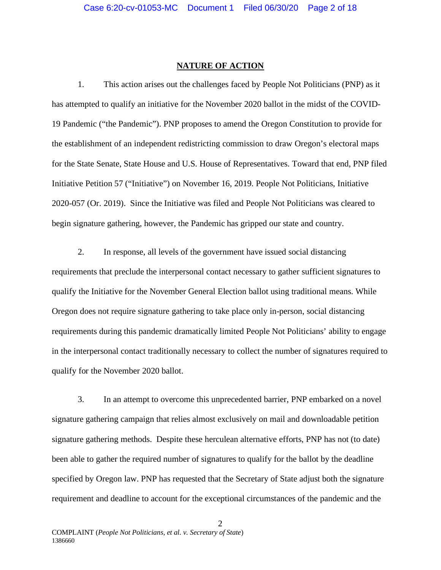## **NATURE OF ACTION**

1. This action arises out the challenges faced by People Not Politicians (PNP) as it has attempted to qualify an initiative for the November 2020 ballot in the midst of the COVID-19 Pandemic ("the Pandemic"). PNP proposes to amend the Oregon Constitution to provide for the establishment of an independent redistricting commission to draw Oregon's electoral maps for the State Senate, State House and U.S. House of Representatives. Toward that end, PNP filed Initiative Petition 57 ("Initiative") on November 16, 2019. People Not Politicians, Initiative 2020-057 (Or. 2019). Since the Initiative was filed and People Not Politicians was cleared to begin signature gathering, however, the Pandemic has gripped our state and country.

2. In response, all levels of the government have issued social distancing requirements that preclude the interpersonal contact necessary to gather sufficient signatures to qualify the Initiative for the November General Election ballot using traditional means. While Oregon does not require signature gathering to take place only in-person, social distancing requirements during this pandemic dramatically limited People Not Politicians' ability to engage in the interpersonal contact traditionally necessary to collect the number of signatures required to qualify for the November 2020 ballot.

3. In an attempt to overcome this unprecedented barrier, PNP embarked on a novel signature gathering campaign that relies almost exclusively on mail and downloadable petition signature gathering methods. Despite these herculean alternative efforts, PNP has not (to date) been able to gather the required number of signatures to qualify for the ballot by the deadline specified by Oregon law. PNP has requested that the Secretary of State adjust both the signature requirement and deadline to account for the exceptional circumstances of the pandemic and the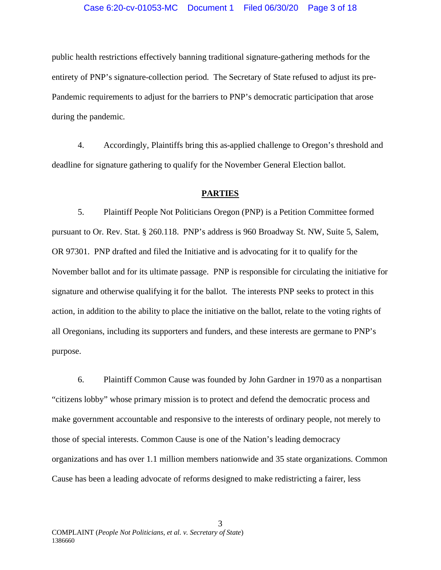#### Case 6:20-cv-01053-MC Document 1 Filed 06/30/20 Page 3 of 18

public health restrictions effectively banning traditional signature-gathering methods for the entirety of PNP's signature-collection period. The Secretary of State refused to adjust its pre-Pandemic requirements to adjust for the barriers to PNP's democratic participation that arose during the pandemic.

4. Accordingly, Plaintiffs bring this as-applied challenge to Oregon's threshold and deadline for signature gathering to qualify for the November General Election ballot.

## **PARTIES**

5. Plaintiff People Not Politicians Oregon (PNP) is a Petition Committee formed pursuant to Or. Rev. Stat. § 260.118. PNP's address is 960 Broadway St. NW, Suite 5, Salem, OR 97301. PNP drafted and filed the Initiative and is advocating for it to qualify for the November ballot and for its ultimate passage. PNP is responsible for circulating the initiative for signature and otherwise qualifying it for the ballot. The interests PNP seeks to protect in this action, in addition to the ability to place the initiative on the ballot, relate to the voting rights of all Oregonians, including its supporters and funders, and these interests are germane to PNP's purpose.

6. Plaintiff Common Cause was founded by John Gardner in 1970 as a nonpartisan "citizens lobby" whose primary mission is to protect and defend the democratic process and make government accountable and responsive to the interests of ordinary people, not merely to those of special interests. Common Cause is one of the Nation's leading democracy organizations and has over 1.1 million members nationwide and 35 state organizations. Common Cause has been a leading advocate of reforms designed to make redistricting a fairer, less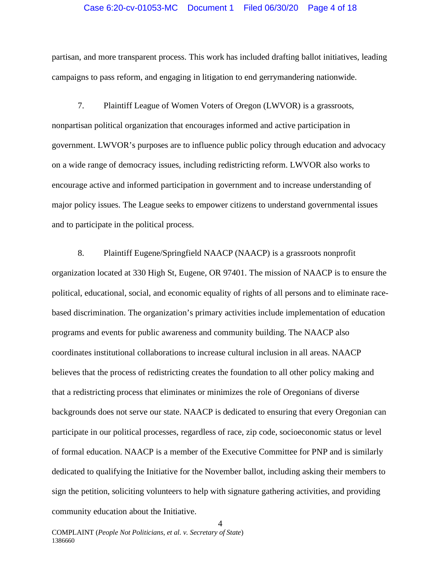## Case 6:20-cv-01053-MC Document 1 Filed 06/30/20 Page 4 of 18

partisan, and more transparent process. This work has included drafting ballot initiatives, leading campaigns to pass reform, and engaging in litigation to end gerrymandering nationwide.

7. Plaintiff League of Women Voters of Oregon (LWVOR) is a grassroots, nonpartisan political organization that encourages informed and active participation in government. LWVOR's purposes are to influence public policy through education and advocacy on a wide range of democracy issues, including redistricting reform. LWVOR also works to encourage active and informed participation in government and to increase understanding of major policy issues. The League seeks to empower citizens to understand governmental issues and to participate in the political process.

8. Plaintiff Eugene/Springfield NAACP (NAACP) is a grassroots nonprofit organization located at 330 High St, Eugene, OR 97401. The mission of NAACP is to ensure the political, educational, social, and economic equality of rights of all persons and to eliminate racebased discrimination. The organization's primary activities include implementation of education programs and events for public awareness and community building. The NAACP also coordinates institutional collaborations to increase cultural inclusion in all areas. NAACP believes that the process of redistricting creates the foundation to all other policy making and that a redistricting process that eliminates or minimizes the role of Oregonians of diverse backgrounds does not serve our state. NAACP is dedicated to ensuring that every Oregonian can participate in our political processes, regardless of race, zip code, socioeconomic status or level of formal education. NAACP is a member of the Executive Committee for PNP and is similarly dedicated to qualifying the Initiative for the November ballot, including asking their members to sign the petition, soliciting volunteers to help with signature gathering activities, and providing community education about the Initiative.

4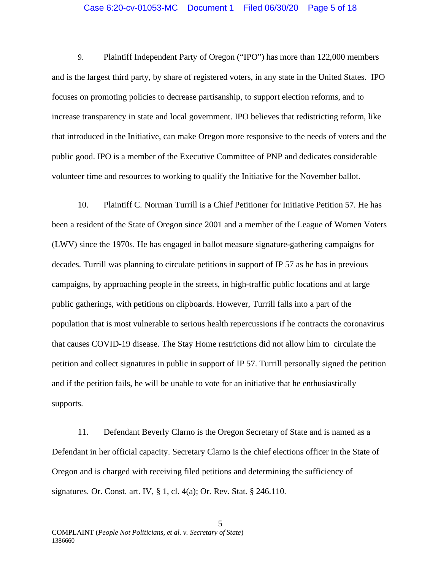## Case 6:20-cv-01053-MC Document 1 Filed 06/30/20 Page 5 of 18

9. Plaintiff Independent Party of Oregon ("IPO") has more than 122,000 members and is the largest third party, by share of registered voters, in any state in the United States. IPO focuses on promoting policies to decrease partisanship, to support election reforms, and to increase transparency in state and local government. IPO believes that redistricting reform, like that introduced in the Initiative, can make Oregon more responsive to the needs of voters and the public good. IPO is a member of the Executive Committee of PNP and dedicates considerable volunteer time and resources to working to qualify the Initiative for the November ballot.

10. Plaintiff C. Norman Turrill is a Chief Petitioner for Initiative Petition 57. He has been a resident of the State of Oregon since 2001 and a member of the League of Women Voters (LWV) since the 1970s. He has engaged in ballot measure signature-gathering campaigns for decades. Turrill was planning to circulate petitions in support of IP 57 as he has in previous campaigns, by approaching people in the streets, in high-traffic public locations and at large public gatherings, with petitions on clipboards. However, Turrill falls into a part of the population that is most vulnerable to serious health repercussions if he contracts the coronavirus that causes COVID-19 disease. The Stay Home restrictions did not allow him to circulate the petition and collect signatures in public in support of IP 57. Turrill personally signed the petition and if the petition fails, he will be unable to vote for an initiative that he enthusiastically supports.

11. Defendant Beverly Clarno is the Oregon Secretary of State and is named as a Defendant in her official capacity. Secretary Clarno is the chief elections officer in the State of Oregon and is charged with receiving filed petitions and determining the sufficiency of signatures. Or. Const. art. IV, § 1, cl. 4(a); Or. Rev. Stat. § 246.110.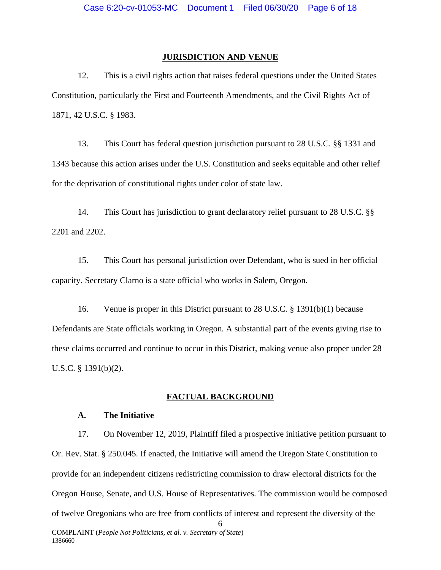## **JURISDICTION AND VENUE**

12. This is a civil rights action that raises federal questions under the United States Constitution, particularly the First and Fourteenth Amendments, and the Civil Rights Act of 1871, 42 U.S.C. § 1983.

13. This Court has federal question jurisdiction pursuant to 28 U.S.C. §§ 1331 and 1343 because this action arises under the U.S. Constitution and seeks equitable and other relief for the deprivation of constitutional rights under color of state law.

14. This Court has jurisdiction to grant declaratory relief pursuant to 28 U.S.C. §§ 2201 and 2202.

15. This Court has personal jurisdiction over Defendant, who is sued in her official capacity. Secretary Clarno is a state official who works in Salem, Oregon.

16. Venue is proper in this District pursuant to 28 U.S.C. § 1391(b)(1) because Defendants are State officials working in Oregon. A substantial part of the events giving rise to these claims occurred and continue to occur in this District, making venue also proper under 28 U.S.C. § 1391(b)(2).

### **FACTUAL BACKGROUND**

## **A. The Initiative**

6 17. On November 12, 2019, Plaintiff filed a prospective initiative petition pursuant to Or. Rev. Stat. § 250.045. If enacted, the Initiative will amend the Oregon State Constitution to provide for an independent citizens redistricting commission to draw electoral districts for the Oregon House, Senate, and U.S. House of Representatives. The commission would be composed of twelve Oregonians who are free from conflicts of interest and represent the diversity of the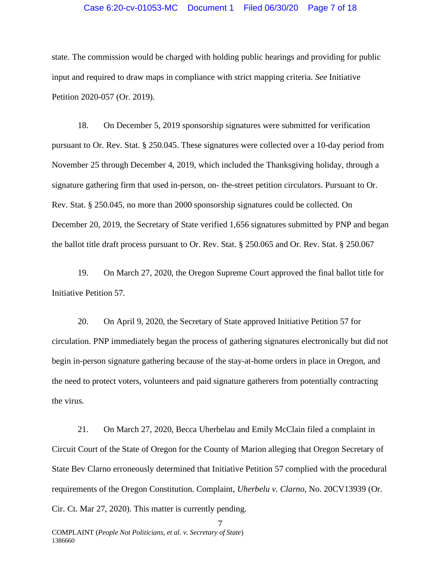## Case 6:20-cv-01053-MC Document 1 Filed 06/30/20 Page 7 of 18

state. The commission would be charged with holding public hearings and providing for public input and required to draw maps in compliance with strict mapping criteria. *See* Initiative Petition 2020-057 (Or. 2019).

18. On December 5, 2019 sponsorship signatures were submitted for verification pursuant to Or. Rev. Stat. § 250.045. These signatures were collected over a 10-day period from November 25 through December 4, 2019, which included the Thanksgiving holiday, through a signature gathering firm that used in-person, on- the-street petition circulators. Pursuant to Or. Rev. Stat. § 250.045, no more than 2000 sponsorship signatures could be collected. On December 20, 2019, the Secretary of State verified 1,656 signatures submitted by PNP and began the ballot title draft process pursuant to Or. Rev. Stat. § 250.065 and Or. Rev. Stat. § 250.067

19. On March 27, 2020, the Oregon Supreme Court approved the final ballot title for Initiative Petition 57.

20. On April 9, 2020, the Secretary of State approved Initiative Petition 57 for circulation. PNP immediately began the process of gathering signatures electronically but did not begin in-person signature gathering because of the stay-at-home orders in place in Oregon, and the need to protect voters, volunteers and paid signature gatherers from potentially contracting the virus.

21. On March 27, 2020, Becca Uherbelau and Emily McClain filed a complaint in Circuit Court of the State of Oregon for the County of Marion alleging that Oregon Secretary of State Bev Clarno erroneously determined that Initiative Petition 57 complied with the procedural requirements of the Oregon Constitution. Complaint, *Uherbelu v. Clarno,* No. 20CV13939 (Or. Cir. Ct. Mar 27, 2020). This matter is currently pending.

7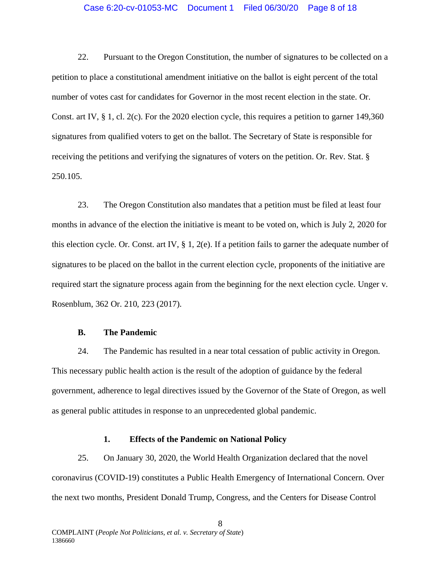## Case 6:20-cv-01053-MC Document 1 Filed 06/30/20 Page 8 of 18

22. Pursuant to the Oregon Constitution, the number of signatures to be collected on a petition to place a constitutional amendment initiative on the ballot is eight percent of the total number of votes cast for candidates for Governor in the most recent election in the state. Or. Const. art IV, § 1, cl. 2(c). For the 2020 election cycle, this requires a petition to garner 149,360 signatures from qualified voters to get on the ballot. The Secretary of State is responsible for receiving the petitions and verifying the signatures of voters on the petition. Or. Rev. Stat. § 250.105.

23. The Oregon Constitution also mandates that a petition must be filed at least four months in advance of the election the initiative is meant to be voted on, which is July 2, 2020 for this election cycle. Or. Const. art IV, § 1, 2(e). If a petition fails to garner the adequate number of signatures to be placed on the ballot in the current election cycle, proponents of the initiative are required start the signature process again from the beginning for the next election cycle. Unger v. Rosenblum, 362 Or. 210, 223 (2017).

## **B. The Pandemic**

24. The Pandemic has resulted in a near total cessation of public activity in Oregon. This necessary public health action is the result of the adoption of guidance by the federal government, adherence to legal directives issued by the Governor of the State of Oregon, as well as general public attitudes in response to an unprecedented global pandemic.

## **1. Effects of the Pandemic on National Policy**

25. On January 30, 2020, the World Health Organization declared that the novel coronavirus (COVID-19) constitutes a Public Health Emergency of International Concern. Over the next two months, President Donald Trump, Congress, and the Centers for Disease Control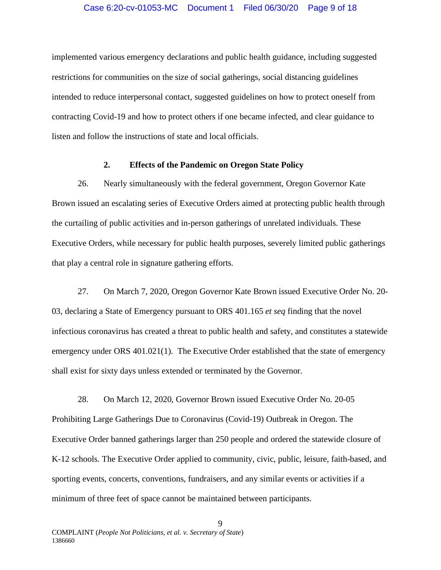## Case 6:20-cv-01053-MC Document 1 Filed 06/30/20 Page 9 of 18

implemented various emergency declarations and public health guidance, including suggested restrictions for communities on the size of social gatherings, social distancing guidelines intended to reduce interpersonal contact, suggested guidelines on how to protect oneself from contracting Covid-19 and how to protect others if one became infected, and clear guidance to listen and follow the instructions of state and local officials.

## **2. Effects of the Pandemic on Oregon State Policy**

26. Nearly simultaneously with the federal government, Oregon Governor Kate Brown issued an escalating series of Executive Orders aimed at protecting public health through the curtailing of public activities and in-person gatherings of unrelated individuals. These Executive Orders, while necessary for public health purposes, severely limited public gatherings that play a central role in signature gathering efforts.

27. On March 7, 2020, Oregon Governor Kate Brown issued Executive Order No. 20- 03, declaring a State of Emergency pursuant to ORS 401.165 *et seq* finding that the novel infectious coronavirus has created a threat to public health and safety, and constitutes a statewide emergency under ORS 401.021(1). The Executive Order established that the state of emergency shall exist for sixty days unless extended or terminated by the Governor.

28. On March 12, 2020, Governor Brown issued Executive Order No. 20-05 Prohibiting Large Gatherings Due to Coronavirus (Covid-19) Outbreak in Oregon. The Executive Order banned gatherings larger than 250 people and ordered the statewide closure of K-12 schools. The Executive Order applied to community, civic, public, leisure, faith-based, and sporting events, concerts, conventions, fundraisers, and any similar events or activities if a minimum of three feet of space cannot be maintained between participants.

9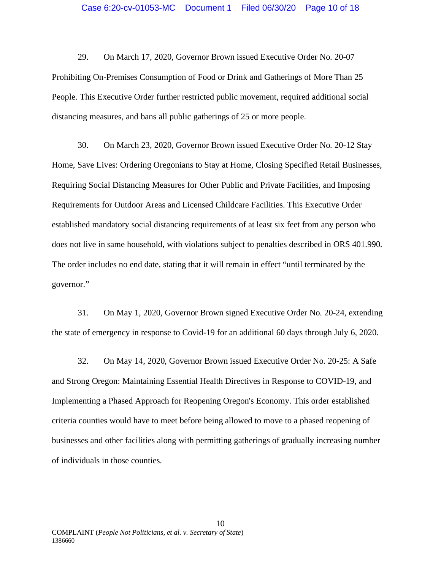29. On March 17, 2020, Governor Brown issued Executive Order No. 20-07 Prohibiting On-Premises Consumption of Food or Drink and Gatherings of More Than 25 People. This Executive Order further restricted public movement, required additional social distancing measures, and bans all public gatherings of 25 or more people.

30. On March 23, 2020, Governor Brown issued Executive Order No. 20-12 Stay Home, Save Lives: Ordering Oregonians to Stay at Home, Closing Specified Retail Businesses, Requiring Social Distancing Measures for Other Public and Private Facilities, and Imposing Requirements for Outdoor Areas and Licensed Childcare Facilities. This Executive Order established mandatory social distancing requirements of at least six feet from any person who does not live in same household, with violations subject to penalties described in ORS 401.990. The order includes no end date, stating that it will remain in effect "until terminated by the governor."

31. On May 1, 2020, Governor Brown signed Executive Order No. 20-24, extending the state of emergency in response to Covid-19 for an additional 60 days through July 6, 2020.

32. On May 14, 2020, Governor Brown issued Executive Order No. 20-25: A Safe and Strong Oregon: Maintaining Essential Health Directives in Response to COVID-19, and Implementing a Phased Approach for Reopening Oregon's Economy. This order established criteria counties would have to meet before being allowed to move to a phased reopening of businesses and other facilities along with permitting gatherings of gradually increasing number of individuals in those counties.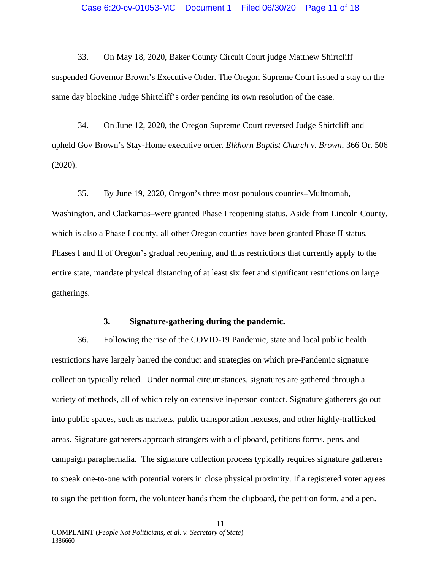33. On May 18, 2020, Baker County Circuit Court judge Matthew Shirtcliff suspended Governor Brown's Executive Order. The Oregon Supreme Court issued a stay on the same day blocking Judge Shirtcliff's order pending its own resolution of the case.

34. On June 12, 2020, the Oregon Supreme Court reversed Judge Shirtcliff and upheld Gov Brown's Stay-Home executive order. *Elkhorn Baptist Church v. Brown*, 366 Or. 506 (2020).

35. By June 19, 2020, Oregon's three most populous counties–Multnomah, Washington, and Clackamas–were granted Phase I reopening status. Aside from Lincoln County, which is also a Phase I county, all other Oregon counties have been granted Phase II status. Phases I and II of Oregon's gradual reopening, and thus restrictions that currently apply to the entire state, mandate physical distancing of at least six feet and significant restrictions on large gatherings.

## **3. Signature-gathering during the pandemic.**

36. Following the rise of the COVID-19 Pandemic, state and local public health restrictions have largely barred the conduct and strategies on which pre-Pandemic signature collection typically relied. Under normal circumstances, signatures are gathered through a variety of methods, all of which rely on extensive in-person contact. Signature gatherers go out into public spaces, such as markets, public transportation nexuses, and other highly-trafficked areas. Signature gatherers approach strangers with a clipboard, petitions forms, pens, and campaign paraphernalia. The signature collection process typically requires signature gatherers to speak one-to-one with potential voters in close physical proximity. If a registered voter agrees to sign the petition form, the volunteer hands them the clipboard, the petition form, and a pen.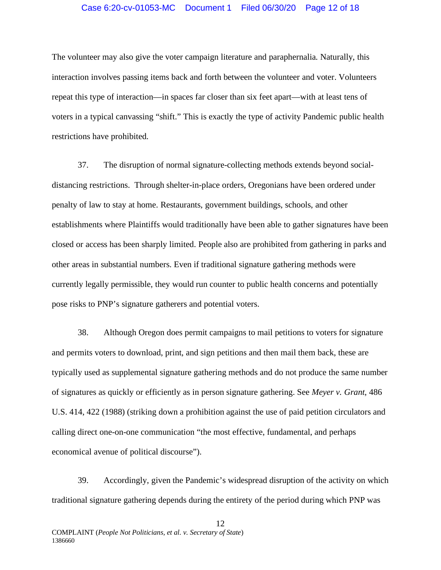## Case 6:20-cv-01053-MC Document 1 Filed 06/30/20 Page 12 of 18

The volunteer may also give the voter campaign literature and paraphernalia. Naturally, this interaction involves passing items back and forth between the volunteer and voter. Volunteers repeat this type of interaction—in spaces far closer than six feet apart—with at least tens of voters in a typical canvassing "shift." This is exactly the type of activity Pandemic public health restrictions have prohibited.

37. The disruption of normal signature-collecting methods extends beyond socialdistancing restrictions. Through shelter-in-place orders, Oregonians have been ordered under penalty of law to stay at home. Restaurants, government buildings, schools, and other establishments where Plaintiffs would traditionally have been able to gather signatures have been closed or access has been sharply limited. People also are prohibited from gathering in parks and other areas in substantial numbers. Even if traditional signature gathering methods were currently legally permissible, they would run counter to public health concerns and potentially pose risks to PNP's signature gatherers and potential voters.

38. Although Oregon does permit campaigns to mail petitions to voters for signature and permits voters to download, print, and sign petitions and then mail them back, these are typically used as supplemental signature gathering methods and do not produce the same number of signatures as quickly or efficiently as in person signature gathering. See *Meyer v. Grant*, 486 U.S. 414, 422 (1988) (striking down a prohibition against the use of paid petition circulators and calling direct one-on-one communication "the most effective, fundamental, and perhaps economical avenue of political discourse").

39. Accordingly, given the Pandemic's widespread disruption of the activity on which traditional signature gathering depends during the entirety of the period during which PNP was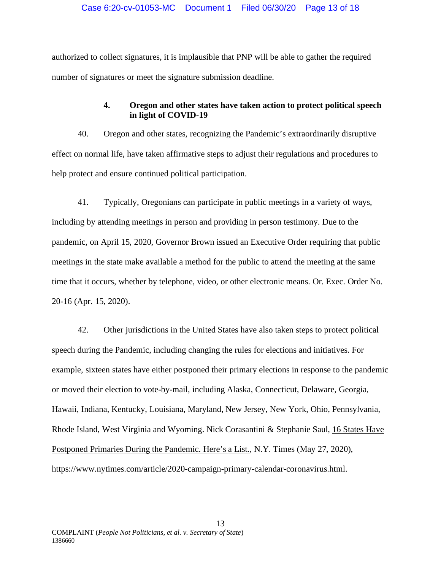authorized to collect signatures, it is implausible that PNP will be able to gather the required number of signatures or meet the signature submission deadline.

# **4. Oregon and other states have taken action to protect political speech in light of COVID-19**

40. Oregon and other states, recognizing the Pandemic's extraordinarily disruptive effect on normal life, have taken affirmative steps to adjust their regulations and procedures to help protect and ensure continued political participation.

41. Typically, Oregonians can participate in public meetings in a variety of ways, including by attending meetings in person and providing in person testimony. Due to the pandemic, on April 15, 2020, Governor Brown issued an Executive Order requiring that public meetings in the state make available a method for the public to attend the meeting at the same time that it occurs, whether by telephone, video, or other electronic means. Or. Exec. Order No. 20-16 (Apr. 15, 2020).

42. Other jurisdictions in the United States have also taken steps to protect political speech during the Pandemic, including changing the rules for elections and initiatives. For example, sixteen states have either postponed their primary elections in response to the pandemic or moved their election to vote-by-mail, including Alaska, Connecticut, Delaware, Georgia, Hawaii, Indiana, Kentucky, Louisiana, Maryland, New Jersey, New York, Ohio, Pennsylvania, Rhode Island, West Virginia and Wyoming. Nick Corasantini & Stephanie Saul, 16 States Have Postponed Primaries During the Pandemic. Here's a List., N.Y. Times (May 27, 2020), https://www.nytimes.com/article/2020-campaign-primary-calendar-coronavirus.html.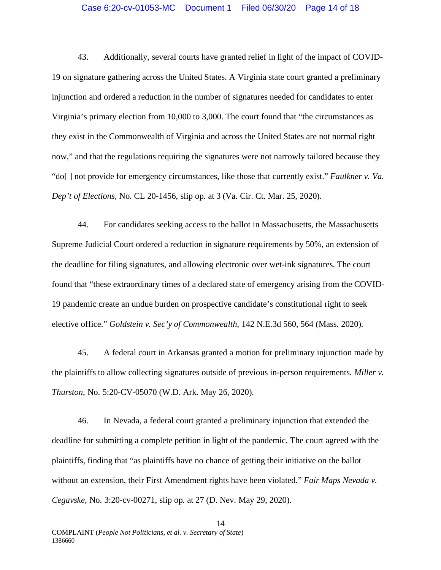#### Case 6:20-cv-01053-MC Document 1 Filed 06/30/20 Page 14 of 18

43. Additionally, several courts have granted relief in light of the impact of COVID-19 on signature gathering across the United States. A Virginia state court granted a preliminary injunction and ordered a reduction in the number of signatures needed for candidates to enter Virginia's primary election from 10,000 to 3,000. The court found that "the circumstances as they exist in the Commonwealth of Virginia and across the United States are not normal right now," and that the regulations requiring the signatures were not narrowly tailored because they "do[ ] not provide for emergency circumstances, like those that currently exist." *Faulkner v. Va. Dep't of Elections*, No. CL 20-1456, slip op. at 3 (Va. Cir. Ct. Mar. 25, 2020).

44. For candidates seeking access to the ballot in Massachusetts, the Massachusetts Supreme Judicial Court ordered a reduction in signature requirements by 50%, an extension of the deadline for filing signatures, and allowing electronic over wet-ink signatures. The court found that "these extraordinary times of a declared state of emergency arising from the COVID-19 pandemic create an undue burden on prospective candidate's constitutional right to seek elective office." *Goldstein v. Sec'y of Commonwealth*, 142 N.E.3d 560, 564 (Mass. 2020).

45. A federal court in Arkansas granted a motion for preliminary injunction made by the plaintiffs to allow collecting signatures outside of previous in-person requirements. *Miller v. Thurston*, No. 5:20-CV-05070 (W.D. Ark. May 26, 2020).

46. In Nevada, a federal court granted a preliminary injunction that extended the deadline for submitting a complete petition in light of the pandemic. The court agreed with the plaintiffs, finding that "as plaintiffs have no chance of getting their initiative on the ballot without an extension, their First Amendment rights have been violated." *Fair Maps Nevada v. Cegavske*, No. 3:20-cv-00271, slip op. at 27 (D. Nev. May 29, 2020).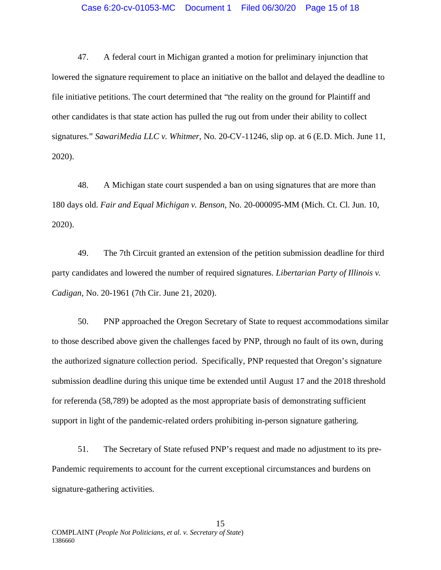### Case 6:20-cv-01053-MC Document 1 Filed 06/30/20 Page 15 of 18

47. A federal court in Michigan granted a motion for preliminary injunction that lowered the signature requirement to place an initiative on the ballot and delayed the deadline to file initiative petitions. The court determined that "the reality on the ground for Plaintiff and other candidates is that state action has pulled the rug out from under their ability to collect signatures." *SawariMedia LLC v. Whitmer*, No. 20-CV-11246, slip op. at 6 (E.D. Mich. June 11, 2020).

48. A Michigan state court suspended a ban on using signatures that are more than 180 days old. *Fair and Equal Michigan v. Benson*, No. 20-000095-MM (Mich. Ct. Cl. Jun. 10, 2020).

49. The 7th Circuit granted an extension of the petition submission deadline for third party candidates and lowered the number of required signatures. *Libertarian Party of Illinois v. Cadigan*, No. 20-1961 (7th Cir. June 21, 2020).

50. PNP approached the Oregon Secretary of State to request accommodations similar to those described above given the challenges faced by PNP, through no fault of its own, during the authorized signature collection period. Specifically, PNP requested that Oregon's signature submission deadline during this unique time be extended until August 17 and the 2018 threshold for referenda (58,789) be adopted as the most appropriate basis of demonstrating sufficient support in light of the pandemic-related orders prohibiting in-person signature gathering.

51. The Secretary of State refused PNP's request and made no adjustment to its pre-Pandemic requirements to account for the current exceptional circumstances and burdens on signature-gathering activities.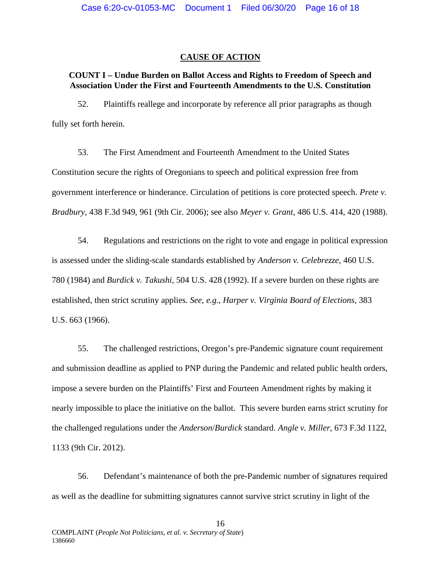## **CAUSE OF ACTION**

## **COUNT I – Undue Burden on Ballot Access and Rights to Freedom of Speech and Association Under the First and Fourteenth Amendments to the U.S. Constitution**

52. Plaintiffs reallege and incorporate by reference all prior paragraphs as though fully set forth herein.

53. The First Amendment and Fourteenth Amendment to the United States Constitution secure the rights of Oregonians to speech and political expression free from government interference or hinderance. Circulation of petitions is core protected speech. *Prete v. Bradbury*, 438 F.3d 949, 961 (9th Cir. 2006); see also *Meyer v. Grant*, 486 U.S. 414, 420 (1988).

54. Regulations and restrictions on the right to vote and engage in political expression is assessed under the sliding-scale standards established by *Anderson v. Celebrezze*, 460 U.S. 780 (1984) and *Burdick v. Takushi*, 504 U.S. 428 (1992). If a severe burden on these rights are established, then strict scrutiny applies. *See, e.g.*, *Harper v. Virginia Board of Elections*, 383 U.S. 663 (1966).

55. The challenged restrictions, Oregon's pre-Pandemic signature count requirement and submission deadline as applied to PNP during the Pandemic and related public health orders, impose a severe burden on the Plaintiffs' First and Fourteen Amendment rights by making it nearly impossible to place the initiative on the ballot. This severe burden earns strict scrutiny for the challenged regulations under the *Anderson*/*Burdick* standard. *Angle v. Miller*, 673 F.3d 1122, 1133 (9th Cir. 2012).

56. Defendant's maintenance of both the pre-Pandemic number of signatures required as well as the deadline for submitting signatures cannot survive strict scrutiny in light of the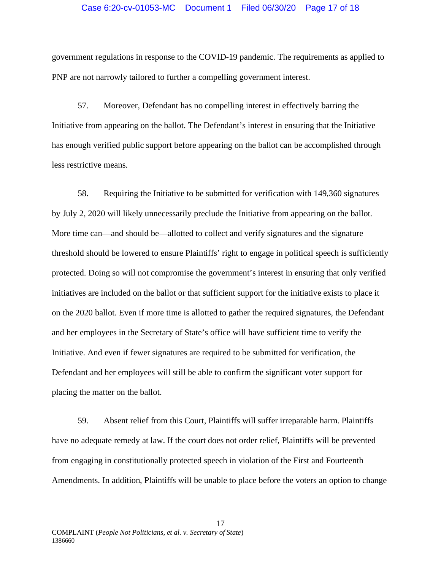## Case 6:20-cv-01053-MC Document 1 Filed 06/30/20 Page 17 of 18

government regulations in response to the COVID-19 pandemic. The requirements as applied to PNP are not narrowly tailored to further a compelling government interest.

57. Moreover, Defendant has no compelling interest in effectively barring the Initiative from appearing on the ballot. The Defendant's interest in ensuring that the Initiative has enough verified public support before appearing on the ballot can be accomplished through less restrictive means.

58. Requiring the Initiative to be submitted for verification with 149,360 signatures by July 2, 2020 will likely unnecessarily preclude the Initiative from appearing on the ballot. More time can—and should be—allotted to collect and verify signatures and the signature threshold should be lowered to ensure Plaintiffs' right to engage in political speech is sufficiently protected. Doing so will not compromise the government's interest in ensuring that only verified initiatives are included on the ballot or that sufficient support for the initiative exists to place it on the 2020 ballot. Even if more time is allotted to gather the required signatures, the Defendant and her employees in the Secretary of State's office will have sufficient time to verify the Initiative. And even if fewer signatures are required to be submitted for verification, the Defendant and her employees will still be able to confirm the significant voter support for placing the matter on the ballot.

59. Absent relief from this Court, Plaintiffs will suffer irreparable harm. Plaintiffs have no adequate remedy at law. If the court does not order relief, Plaintiffs will be prevented from engaging in constitutionally protected speech in violation of the First and Fourteenth Amendments. In addition, Plaintiffs will be unable to place before the voters an option to change